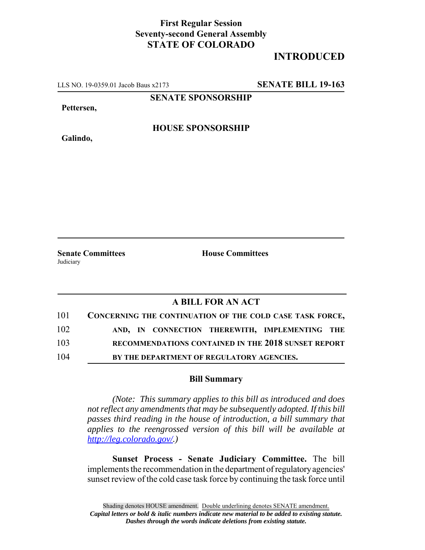## **First Regular Session Seventy-second General Assembly STATE OF COLORADO**

## **INTRODUCED**

LLS NO. 19-0359.01 Jacob Baus x2173 **SENATE BILL 19-163**

**SENATE SPONSORSHIP**

**Pettersen,**

**Galindo,**

**HOUSE SPONSORSHIP**

**Senate Committees House Committees** Judiciary

## **A BILL FOR AN ACT**

| 101 | CONCERNING THE CONTINUATION OF THE COLD CASE TASK FORCE, |
|-----|----------------------------------------------------------|
| 102 | AND, IN CONNECTION THEREWITH, IMPLEMENTING THE           |
| 103 | RECOMMENDATIONS CONTAINED IN THE 2018 SUNSET REPORT      |
| 104 | BY THE DEPARTMENT OF REGULATORY AGENCIES.                |

## **Bill Summary**

*(Note: This summary applies to this bill as introduced and does not reflect any amendments that may be subsequently adopted. If this bill passes third reading in the house of introduction, a bill summary that applies to the reengrossed version of this bill will be available at http://leg.colorado.gov/.)*

**Sunset Process - Senate Judiciary Committee.** The bill implements the recommendation in the department of regulatory agencies' sunset review of the cold case task force by continuing the task force until